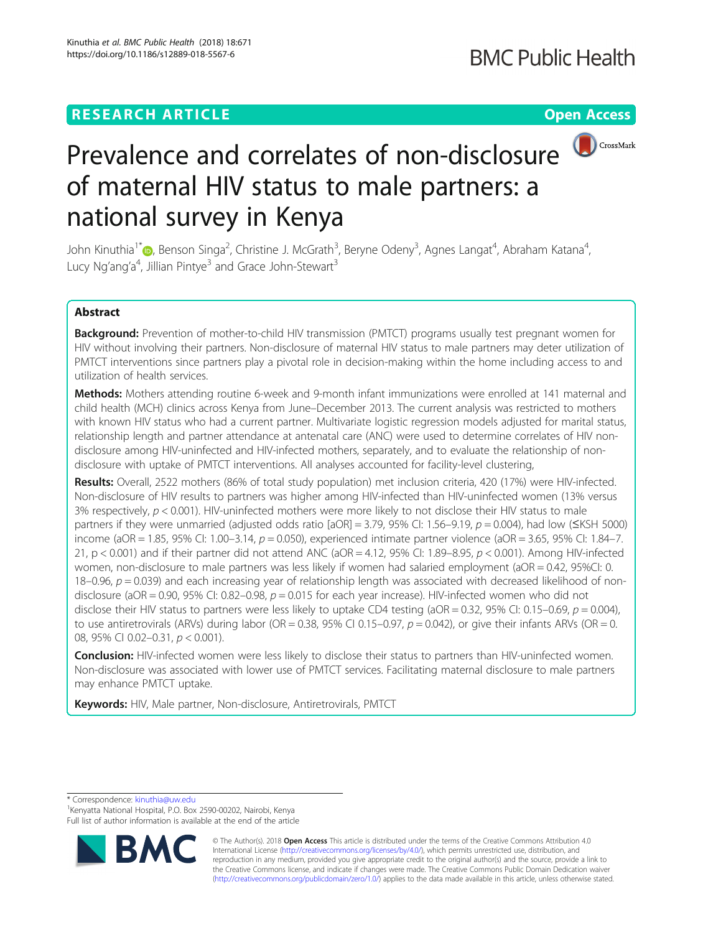# **RESEARCH ARTICLE Example 2018 12:30 THE Open Access**



# Prevalence and correlates of non-disclosure of maternal HIV status to male partners: a national survey in Kenya

John Kinuthia<sup>1\*</sup> (@[,](http://orcid.org/0000-0001-6571-8927) Benson Singa<sup>2</sup>, Christine J. McGrath<sup>3</sup>, Beryne Odeny<sup>3</sup>, Agnes Langat<sup>4</sup>, Abraham Katana<sup>4</sup> , Lucy Ng'ang'a<sup>4</sup>, Jillian Pintye<sup>3</sup> and Grace John-Stewart<sup>3</sup>

# Abstract

Background: Prevention of mother-to-child HIV transmission (PMTCT) programs usually test pregnant women for HIV without involving their partners. Non-disclosure of maternal HIV status to male partners may deter utilization of PMTCT interventions since partners play a pivotal role in decision-making within the home including access to and utilization of health services.

Methods: Mothers attending routine 6-week and 9-month infant immunizations were enrolled at 141 maternal and child health (MCH) clinics across Kenya from June–December 2013. The current analysis was restricted to mothers with known HIV status who had a current partner. Multivariate logistic regression models adjusted for marital status, relationship length and partner attendance at antenatal care (ANC) were used to determine correlates of HIV nondisclosure among HIV-uninfected and HIV-infected mothers, separately, and to evaluate the relationship of nondisclosure with uptake of PMTCT interventions. All analyses accounted for facility-level clustering,

Results: Overall, 2522 mothers (86% of total study population) met inclusion criteria, 420 (17%) were HIV-infected. Non-disclosure of HIV results to partners was higher among HIV-infected than HIV-uninfected women (13% versus 3% respectively,  $p < 0.001$ ). HIV-uninfected mothers were more likely to not disclose their HIV status to male partners if they were unmarried (adjusted odds ratio  $[aOR] = 3.79$ , 95% CI: 1.56–9.19, p = 0.004), had low ( $\leq KSH$  5000) income (aOR = 1.85, 95% CI: 1.00-3.14,  $p = 0.050$ ), experienced intimate partner violence (aOR = 3.65, 95% CI: 1.84-7. 21, p < 0.001) and if their partner did not attend ANC (aOR = 4.12, 95% CI: 1.89–8.95,  $p$  < 0.001). Among HIV-infected women, non-disclosure to male partners was less likely if women had salaried employment (aOR = 0.42, 95%CI: 0.  $18-0.96$ ,  $p = 0.039$ ) and each increasing year of relationship length was associated with decreased likelihood of nondisclosure (aOR = 0.90, 95% CI: 0.82–0.98,  $p = 0.015$  for each year increase). HIV-infected women who did not disclose their HIV status to partners were less likely to uptake CD4 testing (aOR = 0.32, 95% CI: 0.15–0.69,  $p = 0.004$ ), to use antiretrovirals (ARVs) during labor (OR =  $0.38$ , 95% CI 0.15–0.97,  $p = 0.042$ ), or give their infants ARVs (OR = 0. 08, 95% CI 0.02-0.31,  $p < 0.001$ ).

**Conclusion:** HIV-infected women were less likely to disclose their status to partners than HIV-uninfected women. Non-disclosure was associated with lower use of PMTCT services. Facilitating maternal disclosure to male partners may enhance PMTCT uptake.

Keywords: HIV, Male partner, Non-disclosure, Antiretrovirals, PMTCT

\* Correspondence: [kinuthia@uw.edu](mailto:kinuthia@uw.edu) <sup>1</sup>

<sup>1</sup> Kenyatta National Hospital, P.O. Box 2590-00202, Nairobi, Kenya Full list of author information is available at the end of the article



© The Author(s). 2018 Open Access This article is distributed under the terms of the Creative Commons Attribution 4.0 International License [\(http://creativecommons.org/licenses/by/4.0/](http://creativecommons.org/licenses/by/4.0/)), which permits unrestricted use, distribution, and reproduction in any medium, provided you give appropriate credit to the original author(s) and the source, provide a link to the Creative Commons license, and indicate if changes were made. The Creative Commons Public Domain Dedication waiver [\(http://creativecommons.org/publicdomain/zero/1.0/](http://creativecommons.org/publicdomain/zero/1.0/)) applies to the data made available in this article, unless otherwise stated.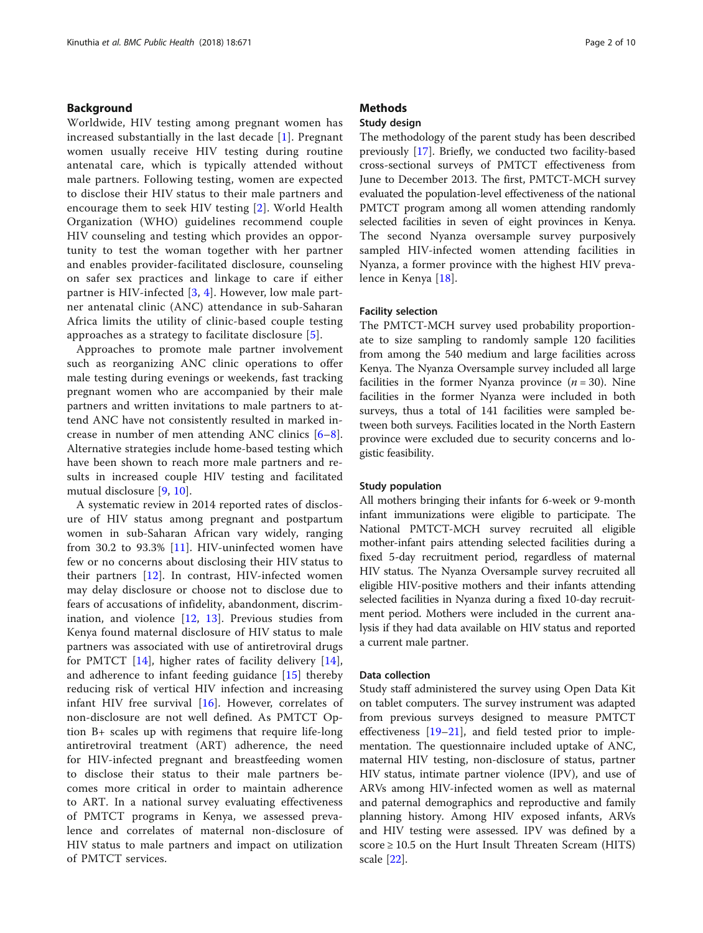# Background

Worldwide, HIV testing among pregnant women has increased substantially in the last decade [\[1\]](#page-8-0). Pregnant women usually receive HIV testing during routine antenatal care, which is typically attended without male partners. Following testing, women are expected to disclose their HIV status to their male partners and encourage them to seek HIV testing [[2\]](#page-8-0). World Health Organization (WHO) guidelines recommend couple HIV counseling and testing which provides an opportunity to test the woman together with her partner and enables provider-facilitated disclosure, counseling on safer sex practices and linkage to care if either partner is HIV-infected [\[3](#page-8-0), [4\]](#page-8-0). However, low male partner antenatal clinic (ANC) attendance in sub-Saharan Africa limits the utility of clinic-based couple testing approaches as a strategy to facilitate disclosure [[5\]](#page-8-0).

Approaches to promote male partner involvement such as reorganizing ANC clinic operations to offer male testing during evenings or weekends, fast tracking pregnant women who are accompanied by their male partners and written invitations to male partners to attend ANC have not consistently resulted in marked increase in number of men attending ANC clinics [\[6](#page-8-0)–[8](#page-8-0)]. Alternative strategies include home-based testing which have been shown to reach more male partners and results in increased couple HIV testing and facilitated mutual disclosure [[9](#page-8-0), [10](#page-8-0)].

A systematic review in 2014 reported rates of disclosure of HIV status among pregnant and postpartum women in sub-Saharan African vary widely, ranging from 30.2 to 93.3% [\[11](#page-8-0)]. HIV-uninfected women have few or no concerns about disclosing their HIV status to their partners [\[12](#page-8-0)]. In contrast, HIV-infected women may delay disclosure or choose not to disclose due to fears of accusations of infidelity, abandonment, discrimination, and violence  $[12, 13]$  $[12, 13]$  $[12, 13]$  $[12, 13]$  $[12, 13]$ . Previous studies from Kenya found maternal disclosure of HIV status to male partners was associated with use of antiretroviral drugs for PMTCT [\[14](#page-8-0)], higher rates of facility delivery [\[14](#page-8-0)], and adherence to infant feeding guidance [[15](#page-8-0)] thereby reducing risk of vertical HIV infection and increasing infant HIV free survival  $[16]$  $[16]$ . However, correlates of non-disclosure are not well defined. As PMTCT Option B+ scales up with regimens that require life-long antiretroviral treatment (ART) adherence, the need for HIV-infected pregnant and breastfeeding women to disclose their status to their male partners becomes more critical in order to maintain adherence to ART. In a national survey evaluating effectiveness of PMTCT programs in Kenya, we assessed prevalence and correlates of maternal non-disclosure of HIV status to male partners and impact on utilization of PMTCT services.

# **Methods**

# Study design

The methodology of the parent study has been described previously [\[17](#page-8-0)]. Briefly, we conducted two facility-based cross-sectional surveys of PMTCT effectiveness from June to December 2013. The first, PMTCT-MCH survey evaluated the population-level effectiveness of the national PMTCT program among all women attending randomly selected facilities in seven of eight provinces in Kenya. The second Nyanza oversample survey purposively sampled HIV-infected women attending facilities in Nyanza, a former province with the highest HIV prevalence in Kenya [\[18](#page-8-0)].

## Facility selection

The PMTCT-MCH survey used probability proportionate to size sampling to randomly sample 120 facilities from among the 540 medium and large facilities across Kenya. The Nyanza Oversample survey included all large facilities in the former Nyanza province  $(n = 30)$ . Nine facilities in the former Nyanza were included in both surveys, thus a total of 141 facilities were sampled between both surveys. Facilities located in the North Eastern province were excluded due to security concerns and logistic feasibility.

#### Study population

All mothers bringing their infants for 6-week or 9-month infant immunizations were eligible to participate. The National PMTCT-MCH survey recruited all eligible mother-infant pairs attending selected facilities during a fixed 5-day recruitment period, regardless of maternal HIV status. The Nyanza Oversample survey recruited all eligible HIV-positive mothers and their infants attending selected facilities in Nyanza during a fixed 10-day recruitment period. Mothers were included in the current analysis if they had data available on HIV status and reported a current male partner.

# Data collection

Study staff administered the survey using Open Data Kit on tablet computers. The survey instrument was adapted from previous surveys designed to measure PMTCT effectiveness [\[19](#page-8-0)–[21\]](#page-8-0), and field tested prior to implementation. The questionnaire included uptake of ANC, maternal HIV testing, non-disclosure of status, partner HIV status, intimate partner violence (IPV), and use of ARVs among HIV-infected women as well as maternal and paternal demographics and reproductive and family planning history. Among HIV exposed infants, ARVs and HIV testing were assessed. IPV was defined by a score  $\geq 10.5$  on the Hurt Insult Threaten Scream (HITS) scale [\[22](#page-8-0)].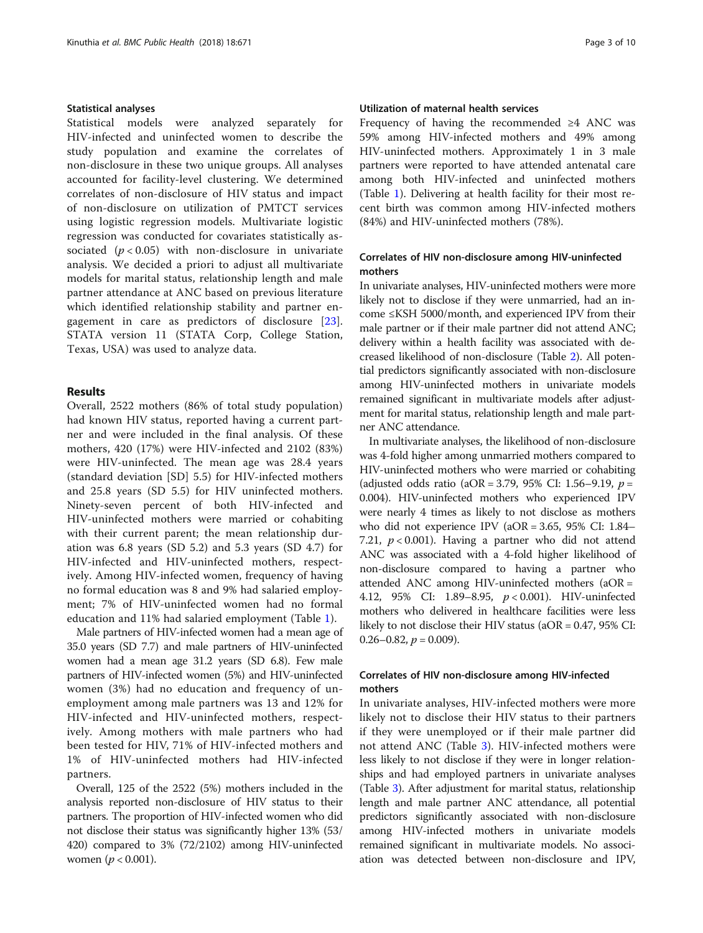#### Statistical analyses

Statistical models were analyzed separately for HIV-infected and uninfected women to describe the study population and examine the correlates of non-disclosure in these two unique groups. All analyses accounted for facility-level clustering. We determined correlates of non-disclosure of HIV status and impact of non-disclosure on utilization of PMTCT services using logistic regression models. Multivariate logistic regression was conducted for covariates statistically associated  $(p < 0.05)$  with non-disclosure in univariate analysis. We decided a priori to adjust all multivariate models for marital status, relationship length and male partner attendance at ANC based on previous literature which identified relationship stability and partner engagement in care as predictors of disclosure [[23](#page-8-0)]. STATA version 11 (STATA Corp, College Station, Texas, USA) was used to analyze data.

# Results

Overall, 2522 mothers (86% of total study population) had known HIV status, reported having a current partner and were included in the final analysis. Of these mothers, 420 (17%) were HIV-infected and 2102 (83%) were HIV-uninfected. The mean age was 28.4 years (standard deviation [SD] 5.5) for HIV-infected mothers and 25.8 years (SD 5.5) for HIV uninfected mothers. Ninety-seven percent of both HIV-infected and HIV-uninfected mothers were married or cohabiting with their current parent; the mean relationship duration was 6.8 years (SD 5.2) and 5.3 years (SD 4.7) for HIV-infected and HIV-uninfected mothers, respectively. Among HIV-infected women, frequency of having no formal education was 8 and 9% had salaried employment; 7% of HIV-uninfected women had no formal education and 11% had salaried employment (Table [1](#page-3-0)).

Male partners of HIV-infected women had a mean age of 35.0 years (SD 7.7) and male partners of HIV-uninfected women had a mean age 31.2 years (SD 6.8). Few male partners of HIV-infected women (5%) and HIV-uninfected women (3%) had no education and frequency of unemployment among male partners was 13 and 12% for HIV-infected and HIV-uninfected mothers, respectively. Among mothers with male partners who had been tested for HIV, 71% of HIV-infected mothers and 1% of HIV-uninfected mothers had HIV-infected partners.

Overall, 125 of the 2522 (5%) mothers included in the analysis reported non-disclosure of HIV status to their partners. The proportion of HIV-infected women who did not disclose their status was significantly higher 13% (53/ 420) compared to 3% (72/2102) among HIV-uninfected women ( $p < 0.001$ ).

# Utilization of maternal health services

Frequency of having the recommended ≥4 ANC was 59% among HIV-infected mothers and 49% among HIV-uninfected mothers. Approximately 1 in 3 male partners were reported to have attended antenatal care among both HIV-infected and uninfected mothers (Table [1\)](#page-3-0). Delivering at health facility for their most recent birth was common among HIV-infected mothers (84%) and HIV-uninfected mothers (78%).

# Correlates of HIV non-disclosure among HIV-uninfected mothers

In univariate analyses, HIV-uninfected mothers were more likely not to disclose if they were unmarried, had an income ≤KSH 5000/month, and experienced IPV from their male partner or if their male partner did not attend ANC; delivery within a health facility was associated with decreased likelihood of non-disclosure (Table [2](#page-4-0)). All potential predictors significantly associated with non-disclosure among HIV-uninfected mothers in univariate models remained significant in multivariate models after adjustment for marital status, relationship length and male partner ANC attendance.

In multivariate analyses, the likelihood of non-disclosure was 4-fold higher among unmarried mothers compared to HIV-uninfected mothers who were married or cohabiting (adjusted odds ratio (aOR = 3.79, 95% CI: 1.56–9.19,  $p =$ 0.004). HIV-uninfected mothers who experienced IPV were nearly 4 times as likely to not disclose as mothers who did not experience IPV (aOR = 3.65, 95% CI: 1.84– 7.21,  $p < 0.001$ ). Having a partner who did not attend ANC was associated with a 4-fold higher likelihood of non-disclosure compared to having a partner who attended ANC among HIV-uninfected mothers (aOR = 4.12, 95% CI: 1.89–8.95, p < 0.001). HIV-uninfected mothers who delivered in healthcare facilities were less likely to not disclose their HIV status (aOR = 0.47, 95% CI:  $0.26 - 0.82$ ,  $p = 0.009$ ).

# Correlates of HIV non-disclosure among HIV-infected mothers

In univariate analyses, HIV-infected mothers were more likely not to disclose their HIV status to their partners if they were unemployed or if their male partner did not attend ANC (Table [3](#page-5-0)). HIV-infected mothers were less likely to not disclose if they were in longer relationships and had employed partners in univariate analyses (Table [3](#page-5-0)). After adjustment for marital status, relationship length and male partner ANC attendance, all potential predictors significantly associated with non-disclosure among HIV-infected mothers in univariate models remained significant in multivariate models. No association was detected between non-disclosure and IPV,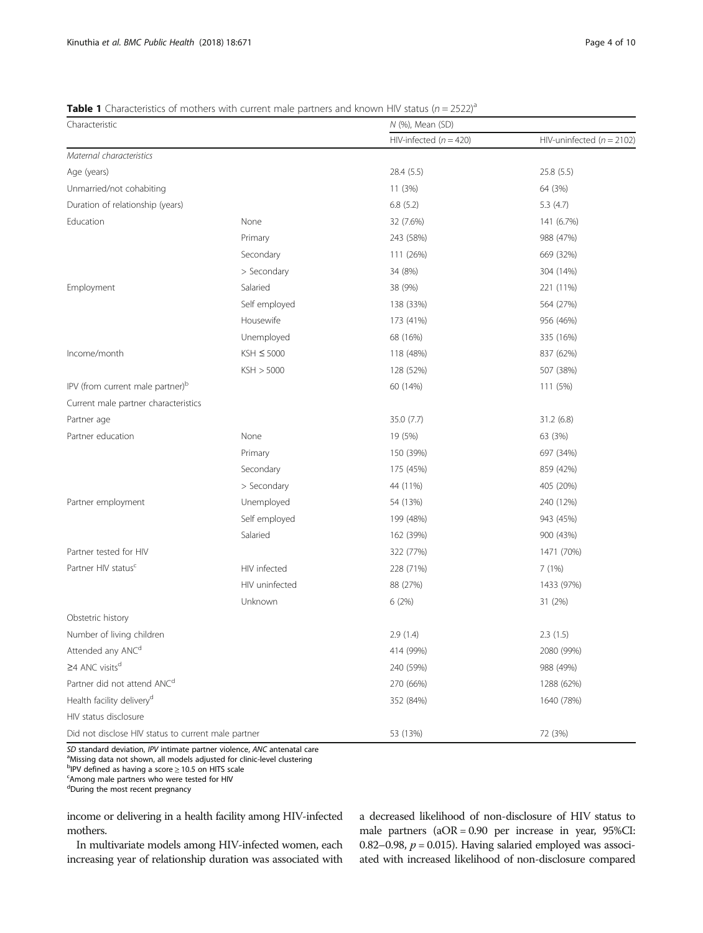## <span id="page-3-0"></span>**Table 1** Characteristics of mothers with current male partners and known HIV status ( $n = 2522$ )<sup>a</sup>

| Characteristic                                      |                 | N (%), Mean (SD)         |                               |  |  |  |
|-----------------------------------------------------|-----------------|--------------------------|-------------------------------|--|--|--|
|                                                     |                 | HIV-infected $(n = 420)$ | HIV-uninfected ( $n = 2102$ ) |  |  |  |
| Maternal characteristics                            |                 |                          |                               |  |  |  |
| Age (years)                                         |                 | 28.4 (5.5)               | 25.8 (5.5)                    |  |  |  |
| Unmarried/not cohabiting                            |                 | 11 (3%)                  | 64 (3%)                       |  |  |  |
| Duration of relationship (years)                    |                 | 6.8(5.2)                 | 5.3(4.7)                      |  |  |  |
| Education                                           | None            | 32 (7.6%)                | 141 (6.7%)                    |  |  |  |
|                                                     | Primary         | 243 (58%)                | 988 (47%)                     |  |  |  |
|                                                     | Secondary       | 111 (26%)                | 669 (32%)                     |  |  |  |
|                                                     | > Secondary     | 34 (8%)                  | 304 (14%)                     |  |  |  |
| Employment                                          | Salaried        | 38 (9%)                  | 221 (11%)                     |  |  |  |
|                                                     | Self employed   | 138 (33%)                | 564 (27%)                     |  |  |  |
|                                                     | Housewife       | 173 (41%)                | 956 (46%)                     |  |  |  |
|                                                     | Unemployed      | 68 (16%)                 | 335 (16%)                     |  |  |  |
| Income/month                                        | $KSH \leq 5000$ | 118 (48%)                | 837 (62%)                     |  |  |  |
|                                                     | KSH > 5000      | 128 (52%)                | 507 (38%)                     |  |  |  |
| IPV (from current male partner) <sup>b</sup>        |                 | 60 (14%)                 | 111 (5%)                      |  |  |  |
| Current male partner characteristics                |                 |                          |                               |  |  |  |
| Partner age                                         |                 | 35.0 (7.7)               | 31.2(6.8)                     |  |  |  |
| Partner education                                   | None            | 19 (5%)                  | 63 (3%)                       |  |  |  |
|                                                     | Primary         | 150 (39%)                | 697 (34%)                     |  |  |  |
|                                                     | Secondary       | 175 (45%)                | 859 (42%)                     |  |  |  |
|                                                     | > Secondary     | 44 (11%)                 | 405 (20%)                     |  |  |  |
| Partner employment                                  | Unemployed      | 54 (13%)                 | 240 (12%)                     |  |  |  |
|                                                     | Self employed   | 199 (48%)                | 943 (45%)                     |  |  |  |
|                                                     | Salaried        | 162 (39%)                | 900 (43%)                     |  |  |  |
| Partner tested for HIV                              |                 | 322 (77%)                | 1471 (70%)                    |  |  |  |
| Partner HIV status <sup>c</sup>                     | HIV infected    | 228 (71%)                | 7(1%)                         |  |  |  |
|                                                     | HIV uninfected  | 88 (27%)                 | 1433 (97%)                    |  |  |  |
|                                                     | Unknown         | 6 (2%)                   | 31 (2%)                       |  |  |  |
| Obstetric history                                   |                 |                          |                               |  |  |  |
| Number of living children                           |                 | 2.9(1.4)                 | 2.3(1.5)                      |  |  |  |
| Attended any ANC <sup>d</sup>                       |                 | 414 (99%)                | 2080 (99%)                    |  |  |  |
| ≥4 ANC visits <sup>d</sup>                          |                 | 240 (59%)                | 988 (49%)                     |  |  |  |
| Partner did not attend ANC <sup>d</sup>             |                 | 270 (66%)                | 1288 (62%)                    |  |  |  |
| Health facility delivery <sup>d</sup>               |                 | 352 (84%)                | 1640 (78%)                    |  |  |  |
| HIV status disclosure                               |                 |                          |                               |  |  |  |
| Did not disclose HIV status to current male partner |                 | 53 (13%)                 | 72 (3%)                       |  |  |  |

SD standard deviation, IPV intimate partner violence, ANC antenatal care

<sup>a</sup>Missing data not shown, all models adjusted for clinic-level clustering

<sup>b</sup> PV defined as having a score ≥ 10.5 on HITS scale<br>Famong male partners who were tested for HIV Among male partners who were tested for HIV

dDuring the most recent pregnancy

income or delivering in a health facility among HIV-infected mothers.

In multivariate models among HIV-infected women, each increasing year of relationship duration was associated with

a decreased likelihood of non-disclosure of HIV status to male partners (aOR = 0.90 per increase in year, 95%CI: 0.82–0.98,  $p = 0.015$ ). Having salaried employed was associated with increased likelihood of non-disclosure compared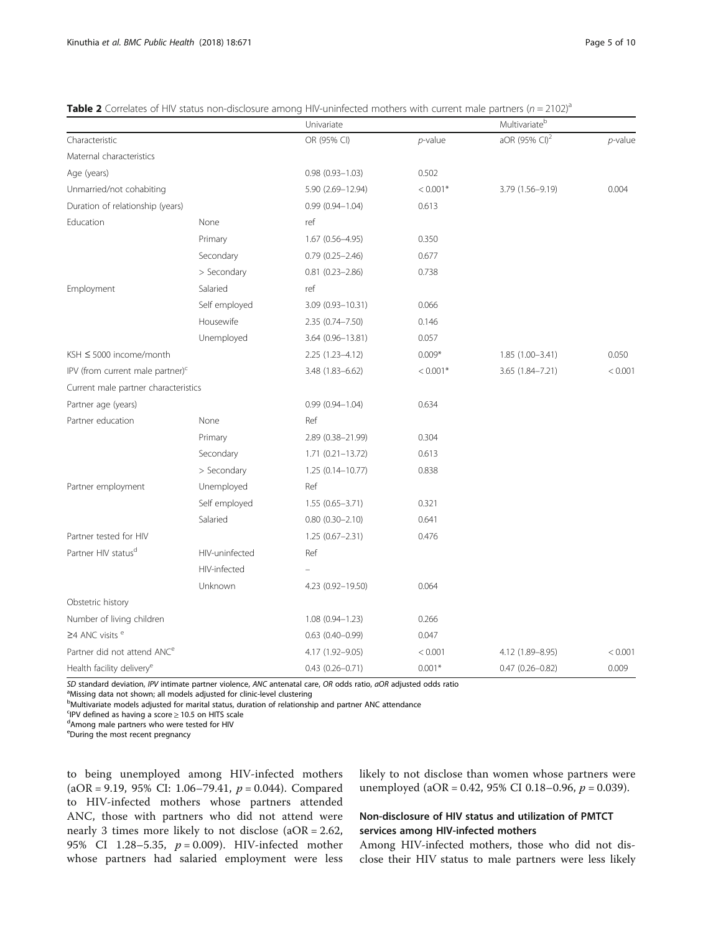|                                              |                | Univariate             |            | Multivariate <sup>b</sup> |            |
|----------------------------------------------|----------------|------------------------|------------|---------------------------|------------|
| Characteristic                               |                | OR (95% CI)            | $p$ -value | aOR (95% CI) <sup>2</sup> | $p$ -value |
| Maternal characteristics                     |                |                        |            |                           |            |
| Age (years)                                  |                | $0.98(0.93 - 1.03)$    | 0.502      |                           |            |
| Unmarried/not cohabiting                     |                | 5.90 (2.69-12.94)      | $< 0.001*$ | 3.79 (1.56-9.19)          | 0.004      |
| Duration of relationship (years)             |                | $0.99(0.94 - 1.04)$    | 0.613      |                           |            |
| Education                                    | None           | ref                    |            |                           |            |
|                                              | Primary        | $1.67(0.56 - 4.95)$    | 0.350      |                           |            |
|                                              | Secondary      | $0.79(0.25 - 2.46)$    | 0.677      |                           |            |
|                                              | > Secondary    | $0.81$ $(0.23 - 2.86)$ | 0.738      |                           |            |
| Employment                                   | Salaried       | ref                    |            |                           |            |
|                                              | Self employed  | 3.09 (0.93-10.31)      | 0.066      |                           |            |
|                                              | Housewife      | 2.35 (0.74-7.50)       | 0.146      |                           |            |
|                                              | Unemployed     | 3.64 (0.96-13.81)      | 0.057      |                           |            |
| KSH ≤ 5000 income/month                      |                | $2.25(1.23 - 4.12)$    | $0.009*$   | 1.85 (1.00-3.41)          | 0.050      |
| IPV (from current male partner) <sup>c</sup> |                | 3.48 (1.83-6.62)       | $< 0.001*$ | 3.65 (1.84-7.21)          | < 0.001    |
| Current male partner characteristics         |                |                        |            |                           |            |
| Partner age (years)                          |                | $0.99(0.94 - 1.04)$    | 0.634      |                           |            |
| Partner education                            | None           | Ref                    |            |                           |            |
|                                              | Primary        | 2.89 (0.38-21.99)      | 0.304      |                           |            |
|                                              | Secondary      | $1.71 (0.21 - 13.72)$  | 0.613      |                           |            |
|                                              | > Secondary    | 1.25 (0.14-10.77)      | 0.838      |                           |            |
| Partner employment                           | Unemployed     | Ref                    |            |                           |            |
|                                              | Self employed  | $1.55(0.65 - 3.71)$    | 0.321      |                           |            |
|                                              | Salaried       | $0.80$ $(0.30 - 2.10)$ | 0.641      |                           |            |
| Partner tested for HIV                       |                | $1.25(0.67 - 2.31)$    | 0.476      |                           |            |
| Partner HIV status <sup>d</sup>              | HIV-uninfected | Ref                    |            |                           |            |
|                                              | HIV-infected   |                        |            |                           |            |
|                                              | Unknown        | 4.23 (0.92-19.50)      | 0.064      |                           |            |
| Obstetric history                            |                |                        |            |                           |            |
| Number of living children                    |                | $1.08(0.94 - 1.23)$    | 0.266      |                           |            |
| $\geq$ 4 ANC visits $e$                      |                | $0.63$ $(0.40 - 0.99)$ | 0.047      |                           |            |
| Partner did not attend ANC <sup>e</sup>      |                | 4.17 (1.92-9.05)       | < 0.001    | 4.12 (1.89-8.95)          | < 0.001    |
| Health facility delivery <sup>e</sup>        |                | $0.43(0.26 - 0.71)$    | $0.001*$   | $0.47(0.26 - 0.82)$       | 0.009      |

<span id="page-4-0"></span>**Table 2** Correlates of HIV status non-disclosure among HIV-uninfected mothers with current male partners ( $n = 2102$ )<sup>a</sup>

SD standard deviation, IPV intimate partner violence, ANC antenatal care, OR odds ratio, aOR adjusted odds ratio

<sup>a</sup>Missing data not shown; all models adjusted for clinic-level clustering

**Multivariate models adjusted for marital status, duration of relationship and partner ANC attendance** 

FIPV defined as having a score  $\geq 10.5$  on HITS scale<br>dAmong male partners who were tested for HIV

Among male partners who were tested for HIV

<sup>e</sup>During the most recent pregnancy

to being unemployed among HIV-infected mothers (aOR = 9.19, 95% CI: 1.06-79.41,  $p = 0.044$ ). Compared to HIV-infected mothers whose partners attended ANC, those with partners who did not attend were nearly 3 times more likely to not disclose (aOR = 2.62, 95% CI 1.28-5.35,  $p = 0.009$ ). HIV-infected mother whose partners had salaried employment were less likely to not disclose than women whose partners were unemployed (aOR = 0.42, 95% CI 0.18-0.96,  $p = 0.039$ ).

# Non-disclosure of HIV status and utilization of PMTCT services among HIV-infected mothers

Among HIV-infected mothers, those who did not disclose their HIV status to male partners were less likely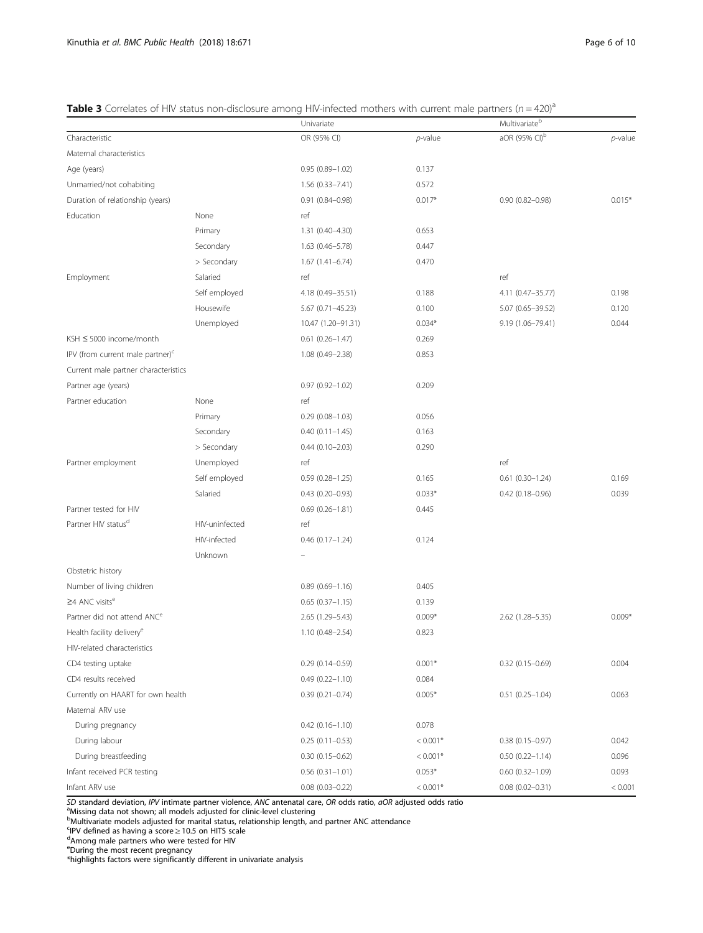<span id="page-5-0"></span>

|  |  | <b>Table 3</b> Correlates of HIV status non-disclosure among HIV-infected mothers with current male partners ( $n = 420$ ) <sup>a</sup> |  |  |  |  |
|--|--|-----------------------------------------------------------------------------------------------------------------------------------------|--|--|--|--|
|  |  |                                                                                                                                         |  |  |  |  |

|                                              |                | Univariate             |            |                           |            |
|----------------------------------------------|----------------|------------------------|------------|---------------------------|------------|
| Characteristic                               |                | OR (95% CI)            | $p$ -value | aOR (95% CI) <sup>b</sup> | $p$ -value |
| Maternal characteristics                     |                |                        |            |                           |            |
| Age (years)                                  |                | $0.95(0.89 - 1.02)$    | 0.137      |                           |            |
| Unmarried/not cohabiting                     |                | $1.56(0.33 - 7.41)$    | 0.572      |                           |            |
| Duration of relationship (years)             |                | $0.91(0.84 - 0.98)$    | $0.017*$   | $0.90(0.82 - 0.98)$       | $0.015*$   |
| Education                                    | None           | ref                    |            |                           |            |
|                                              | Primary        | 1.31 (0.40-4.30)       | 0.653      |                           |            |
|                                              | Secondary      | $1.63(0.46 - 5.78)$    | 0.447      |                           |            |
|                                              | > Secondary    | $1.67(1.41 - 6.74)$    | 0.470      |                           |            |
| Employment                                   | Salaried       | ref                    |            | ref                       |            |
|                                              | Self employed  | 4.18 (0.49-35.51)      | 0.188      | 4.11 (0.47-35.77)         | 0.198      |
|                                              | Housewife      | 5.67 (0.71-45.23)      | 0.100      | 5.07 (0.65-39.52)         | 0.120      |
|                                              | Unemployed     | 10.47 (1.20-91.31)     | $0.034*$   | 9.19 (1.06-79.41)         | 0.044      |
| KSH ≤ 5000 income/month                      |                | $0.61(0.26 - 1.47)$    | 0.269      |                           |            |
| IPV (from current male partner) <sup>c</sup> |                | 1.08 (0.49-2.38)       | 0.853      |                           |            |
| Current male partner characteristics         |                |                        |            |                           |            |
| Partner age (years)                          |                | $0.97(0.92 - 1.02)$    | 0.209      |                           |            |
| Partner education                            | None           | ref                    |            |                           |            |
|                                              | Primary        | $0.29(0.08 - 1.03)$    | 0.056      |                           |            |
|                                              | Secondary      | $0.40(0.11 - 1.45)$    | 0.163      |                           |            |
|                                              | > Secondary    | $0.44(0.10 - 2.03)$    | 0.290      |                           |            |
| Partner employment                           | Unemployed     | ref                    |            | ref                       |            |
|                                              | Self employed  | $0.59(0.28 - 1.25)$    | 0.165      | $0.61(0.30-1.24)$         | 0.169      |
|                                              | Salaried       | $0.43(0.20 - 0.93)$    | $0.033*$   | $0.42$ (0.18-0.96)        | 0.039      |
| Partner tested for HIV                       |                | $0.69(0.26 - 1.81)$    | 0.445      |                           |            |
| Partner HIV status <sup>d</sup>              | HIV-uninfected | ref                    |            |                           |            |
|                                              | HIV-infected   | $0.46$ $(0.17 - 1.24)$ | 0.124      |                           |            |
|                                              | Unknown        |                        |            |                           |            |
| Obstetric history                            |                |                        |            |                           |            |
| Number of living children                    |                | $0.89(0.69 - 1.16)$    | 0.405      |                           |            |
| $\geq$ 4 ANC visits <sup>e</sup>             |                | $0.65(0.37 - 1.15)$    | 0.139      |                           |            |
| Partner did not attend ANC <sup>e</sup>      |                | 2.65 (1.29-5.43)       | $0.009*$   | 2.62 (1.28-5.35)          | $0.009*$   |
| Health facility delivery <sup>e</sup>        |                | $1.10(0.48 - 2.54)$    | 0.823      |                           |            |
| HIV-related characteristics                  |                |                        |            |                           |            |
| CD4 testing uptake                           |                | $0.29(0.14 - 0.59)$    | $0.001*$   | $0.32(0.15 - 0.69)$       | 0.004      |
| CD4 results received                         |                | $0.49(0.22 - 1.10)$    | 0.084      |                           |            |
| Currently on HAART for own health            |                | $0.39(0.21 - 0.74)$    | $0.005*$   | $0.51(0.25 - 1.04)$       | 0.063      |
| Maternal ARV use                             |                |                        |            |                           |            |
| During pregnancy                             |                | $0.42(0.16 - 1.10)$    | 0.078      |                           |            |
| During labour                                |                | $0.25(0.11 - 0.53)$    | $< 0.001*$ | $0.38(0.15 - 0.97)$       | 0.042      |
| During breastfeeding                         |                | $0.30(0.15 - 0.62)$    | $< 0.001*$ | $0.50(0.22 - 1.14)$       | 0.096      |
| Infant received PCR testing                  |                | $0.56(0.31 - 1.01)$    | $0.053*$   | $0.60$ $(0.32 - 1.09)$    | 0.093      |
| Infant ARV use                               |                | $0.08$ $(0.03 - 0.22)$ | $< 0.001*$ | $0.08$ $(0.02 - 0.31)$    | < 0.001    |

*SD s*tandard deviation, IPV intimate partner violence, ANC antenatal care, OR odds ratio, *aOR* adjusted odds ratio<br><sup>a</sup>Missing data not shown; all models adjusted for clinic-level clustering

**b**Multivariate models adjusted for marital status, relationship length, and partner ANC attendance

<sup>c</sup>IPV defined as having a score ≥ 10.5 on HITS scale<br><sup>d</sup>Among male partners who were tested for HIV<br><sup>e</sup>During the most recent pregnancy

\*highlights factors were significantly different in univariate analysis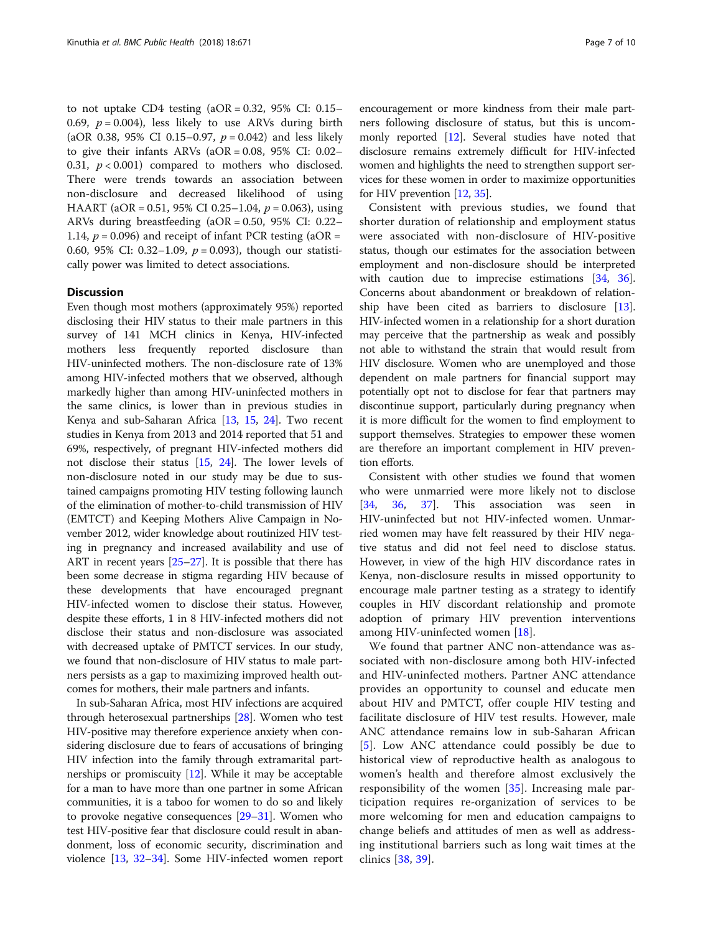to not uptake CD4 testing  $(aOR = 0.32, 95\% \text{ CI: } 0.15-$ 0.69,  $p = 0.004$ ), less likely to use ARVs during birth (aOR 0.38, 95% CI 0.15–0.97,  $p = 0.042$ ) and less likely to give their infants ARVs (aOR = 0.08, 95% CI: 0.02– 0.31,  $p < 0.001$ ) compared to mothers who disclosed. There were trends towards an association between non-disclosure and decreased likelihood of using HAART (aOR = 0.51, 95% CI 0.25–1.04,  $p = 0.063$ ), using ARVs during breastfeeding (aOR = 0.50, 95% CI: 0.22– 1.14,  $p = 0.096$ ) and receipt of infant PCR testing (aOR = 0.60, 95% CI: 0.32-1.09,  $p = 0.093$ ), though our statistically power was limited to detect associations.

#### **Discussion**

Even though most mothers (approximately 95%) reported disclosing their HIV status to their male partners in this survey of 141 MCH clinics in Kenya, HIV-infected mothers less frequently reported disclosure than HIV-uninfected mothers. The non-disclosure rate of 13% among HIV-infected mothers that we observed, although markedly higher than among HIV-uninfected mothers in the same clinics, is lower than in previous studies in Kenya and sub-Saharan Africa [[13](#page-8-0), [15,](#page-8-0) [24\]](#page-8-0). Two recent studies in Kenya from 2013 and 2014 reported that 51 and 69%, respectively, of pregnant HIV-infected mothers did not disclose their status [\[15](#page-8-0), [24](#page-8-0)]. The lower levels of non-disclosure noted in our study may be due to sustained campaigns promoting HIV testing following launch of the elimination of mother-to-child transmission of HIV (EMTCT) and Keeping Mothers Alive Campaign in November 2012, wider knowledge about routinized HIV testing in pregnancy and increased availability and use of ART in recent years [[25](#page-8-0)–[27\]](#page-8-0). It is possible that there has been some decrease in stigma regarding HIV because of these developments that have encouraged pregnant HIV-infected women to disclose their status. However, despite these efforts, 1 in 8 HIV-infected mothers did not disclose their status and non-disclosure was associated with decreased uptake of PMTCT services. In our study, we found that non-disclosure of HIV status to male partners persists as a gap to maximizing improved health outcomes for mothers, their male partners and infants.

In sub-Saharan Africa, most HIV infections are acquired through heterosexual partnerships [[28](#page-8-0)]. Women who test HIV-positive may therefore experience anxiety when considering disclosure due to fears of accusations of bringing HIV infection into the family through extramarital partnerships or promiscuity [\[12\]](#page-8-0). While it may be acceptable for a man to have more than one partner in some African communities, it is a taboo for women to do so and likely to provoke negative consequences [\[29](#page-8-0)–[31](#page-8-0)]. Women who test HIV-positive fear that disclosure could result in abandonment, loss of economic security, discrimination and violence [[13,](#page-8-0) [32](#page-8-0)–[34](#page-8-0)]. Some HIV-infected women report

encouragement or more kindness from their male partners following disclosure of status, but this is uncommonly reported [[12](#page-8-0)]. Several studies have noted that disclosure remains extremely difficult for HIV-infected women and highlights the need to strengthen support services for these women in order to maximize opportunities for HIV prevention [\[12](#page-8-0), [35](#page-8-0)].

Consistent with previous studies, we found that shorter duration of relationship and employment status were associated with non-disclosure of HIV-positive status, though our estimates for the association between employment and non-disclosure should be interpreted with caution due to imprecise estimations [[34](#page-8-0), [36](#page-8-0)]. Concerns about abandonment or breakdown of relationship have been cited as barriers to disclosure [[13](#page-8-0)]. HIV-infected women in a relationship for a short duration may perceive that the partnership as weak and possibly not able to withstand the strain that would result from HIV disclosure. Women who are unemployed and those dependent on male partners for financial support may potentially opt not to disclose for fear that partners may discontinue support, particularly during pregnancy when it is more difficult for the women to find employment to support themselves. Strategies to empower these women are therefore an important complement in HIV prevention efforts.

Consistent with other studies we found that women who were unmarried were more likely not to disclose [[34,](#page-8-0) [36](#page-8-0), [37\]](#page-8-0). This association was seen in HIV-uninfected but not HIV-infected women. Unmarried women may have felt reassured by their HIV negative status and did not feel need to disclose status. However, in view of the high HIV discordance rates in Kenya, non-disclosure results in missed opportunity to encourage male partner testing as a strategy to identify couples in HIV discordant relationship and promote adoption of primary HIV prevention interventions among HIV-uninfected women [[18](#page-8-0)].

We found that partner ANC non-attendance was associated with non-disclosure among both HIV-infected and HIV-uninfected mothers. Partner ANC attendance provides an opportunity to counsel and educate men about HIV and PMTCT, offer couple HIV testing and facilitate disclosure of HIV test results. However, male ANC attendance remains low in sub-Saharan African [[5](#page-8-0)]. Low ANC attendance could possibly be due to historical view of reproductive health as analogous to women's health and therefore almost exclusively the responsibility of the women [\[35](#page-8-0)]. Increasing male participation requires re-organization of services to be more welcoming for men and education campaigns to change beliefs and attitudes of men as well as addressing institutional barriers such as long wait times at the clinics [\[38](#page-9-0), [39](#page-9-0)].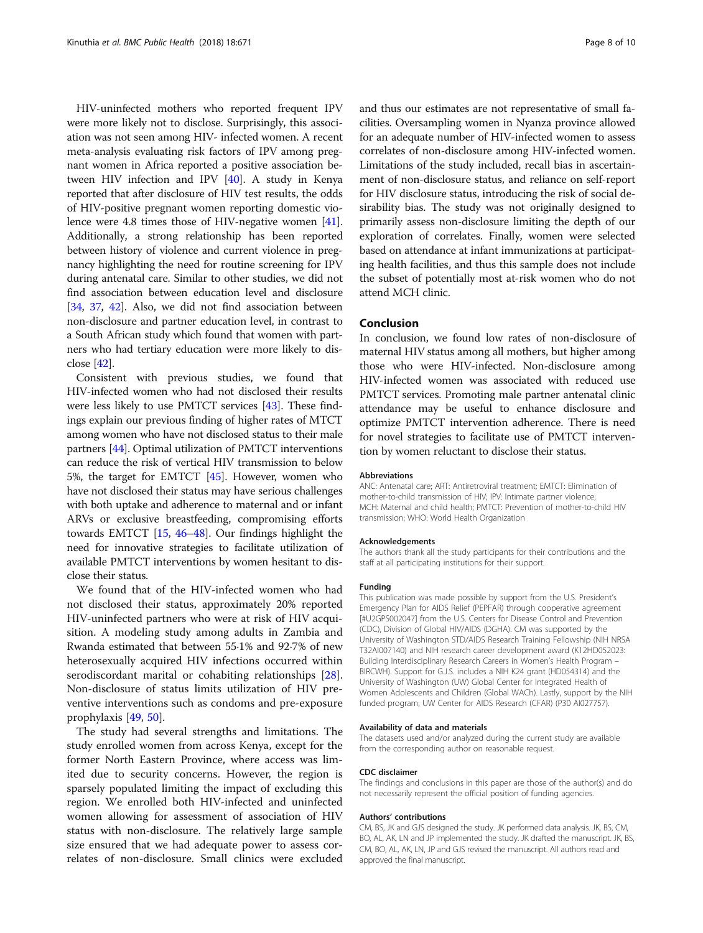HIV-uninfected mothers who reported frequent IPV were more likely not to disclose. Surprisingly, this association was not seen among HIV- infected women. A recent meta-analysis evaluating risk factors of IPV among pregnant women in Africa reported a positive association between HIV infection and IPV [\[40\]](#page-9-0). A study in Kenya reported that after disclosure of HIV test results, the odds of HIV-positive pregnant women reporting domestic violence were 4.8 times those of HIV-negative women [[41](#page-9-0)]. Additionally, a strong relationship has been reported between history of violence and current violence in pregnancy highlighting the need for routine screening for IPV during antenatal care. Similar to other studies, we did not find association between education level and disclosure [[34](#page-8-0), [37,](#page-8-0) [42](#page-9-0)]. Also, we did not find association between non-disclosure and partner education level, in contrast to a South African study which found that women with partners who had tertiary education were more likely to disclose [\[42\]](#page-9-0).

Consistent with previous studies, we found that HIV-infected women who had not disclosed their results were less likely to use PMTCT services [\[43\]](#page-9-0). These findings explain our previous finding of higher rates of MTCT among women who have not disclosed status to their male partners [\[44\]](#page-9-0). Optimal utilization of PMTCT interventions can reduce the risk of vertical HIV transmission to below 5%, the target for EMTCT [[45](#page-9-0)]. However, women who have not disclosed their status may have serious challenges with both uptake and adherence to maternal and or infant ARVs or exclusive breastfeeding, compromising efforts towards EMTCT [\[15,](#page-8-0) [46](#page-9-0)–[48\]](#page-9-0). Our findings highlight the need for innovative strategies to facilitate utilization of available PMTCT interventions by women hesitant to disclose their status.

We found that of the HIV-infected women who had not disclosed their status, approximately 20% reported HIV-uninfected partners who were at risk of HIV acquisition. A modeling study among adults in Zambia and Rwanda estimated that between 55·1% and 92·7% of new heterosexually acquired HIV infections occurred within serodiscordant marital or cohabiting relationships [\[28](#page-8-0)]. Non-disclosure of status limits utilization of HIV preventive interventions such as condoms and pre-exposure prophylaxis [[49,](#page-9-0) [50\]](#page-9-0).

The study had several strengths and limitations. The study enrolled women from across Kenya, except for the former North Eastern Province, where access was limited due to security concerns. However, the region is sparsely populated limiting the impact of excluding this region. We enrolled both HIV-infected and uninfected women allowing for assessment of association of HIV status with non-disclosure. The relatively large sample size ensured that we had adequate power to assess correlates of non-disclosure. Small clinics were excluded and thus our estimates are not representative of small facilities. Oversampling women in Nyanza province allowed for an adequate number of HIV-infected women to assess correlates of non-disclosure among HIV-infected women. Limitations of the study included, recall bias in ascertainment of non-disclosure status, and reliance on self-report for HIV disclosure status, introducing the risk of social desirability bias. The study was not originally designed to primarily assess non-disclosure limiting the depth of our exploration of correlates. Finally, women were selected based on attendance at infant immunizations at participating health facilities, and thus this sample does not include the subset of potentially most at-risk women who do not attend MCH clinic.

## Conclusion

In conclusion, we found low rates of non-disclosure of maternal HIV status among all mothers, but higher among those who were HIV-infected. Non-disclosure among HIV-infected women was associated with reduced use PMTCT services. Promoting male partner antenatal clinic attendance may be useful to enhance disclosure and optimize PMTCT intervention adherence. There is need for novel strategies to facilitate use of PMTCT intervention by women reluctant to disclose their status.

#### Abbreviations

ANC: Antenatal care; ART: Antiretroviral treatment; EMTCT: Elimination of mother-to-child transmission of HIV; IPV: Intimate partner violence; MCH: Maternal and child health; PMTCT: Prevention of mother-to-child HIV transmission; WHO: World Health Organization

#### Acknowledgements

The authors thank all the study participants for their contributions and the staff at all participating institutions for their support.

#### Funding

This publication was made possible by support from the U.S. President's Emergency Plan for AIDS Relief (PEPFAR) through cooperative agreement [#U2GPS002047] from the U.S. Centers for Disease Control and Prevention (CDC), Division of Global HIV/AIDS (DGHA). CM was supported by the University of Washington STD/AIDS Research Training Fellowship (NIH NRSA T32AI007140) and NIH research career development award (K12HD052023: Building Interdisciplinary Research Careers in Women's Health Program – BIRCWH). Support for G.J.S. includes a NIH K24 grant (HD054314) and the University of Washington (UW) Global Center for Integrated Health of Women Adolescents and Children (Global WACh). Lastly, support by the NIH funded program, UW Center for AIDS Research (CFAR) (P30 AI027757).

#### Availability of data and materials

The datasets used and/or analyzed during the current study are available from the corresponding author on reasonable request.

#### CDC disclaimer

The findings and conclusions in this paper are those of the author(s) and do not necessarily represent the official position of funding agencies.

#### Authors' contributions

CM, BS, JK and GJS designed the study. JK performed data analysis. JK, BS, CM, BO, AL, AK, LN and JP implemented the study. JK drafted the manuscript. JK, BS, CM, BO, AL, AK, LN, JP and GJS revised the manuscript. All authors read and approved the final manuscript.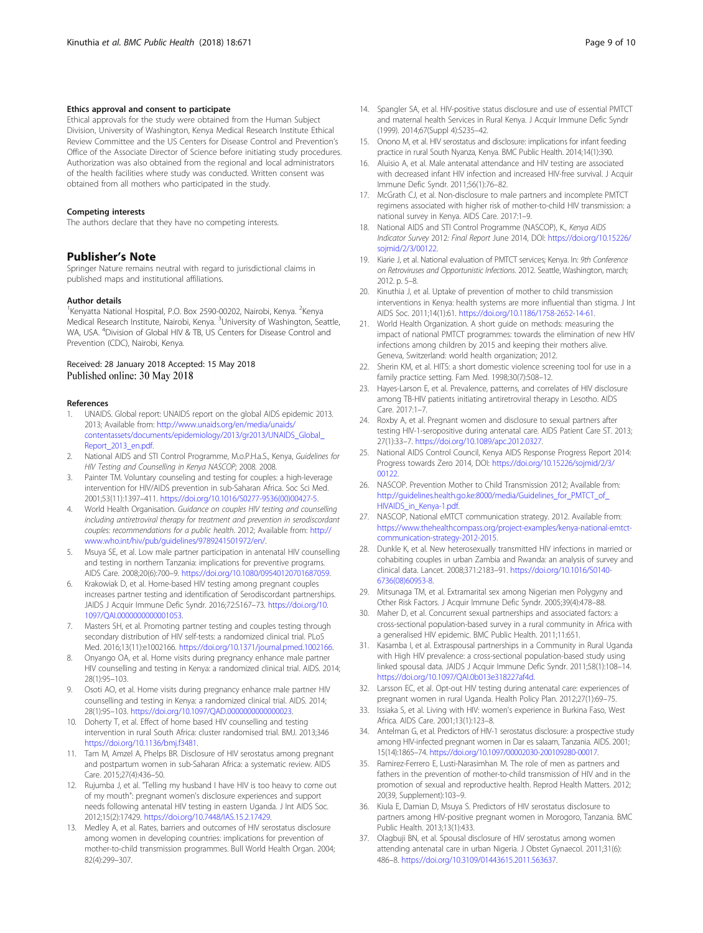#### <span id="page-8-0"></span>Ethics approval and consent to participate

Ethical approvals for the study were obtained from the Human Subject Division, University of Washington, Kenya Medical Research Institute Ethical Review Committee and the US Centers for Disease Control and Prevention's Office of the Associate Director of Science before initiating study procedures. Authorization was also obtained from the regional and local administrators of the health facilities where study was conducted. Written consent was obtained from all mothers who participated in the study.

#### Competing interests

The authors declare that they have no competing interests.

### Publisher's Note

Springer Nature remains neutral with regard to jurisdictional claims in published maps and institutional affiliations.

#### Author details

<sup>1</sup>Kenyatta National Hospital, P.O. Box 2590-00202, Nairobi, Kenya. <sup>2</sup>Kenya Medical Research Institute, Nairobi, Kenya. <sup>3</sup>University of Washington, Seattle, WA, USA. <sup>4</sup>Division of Global HIV & TB, US Centers for Disease Control and Prevention (CDC), Nairobi, Kenya.

#### Received: 28 January 2018 Accepted: 15 May 2018 Published online: 30 May 2018

#### References

- 1. UNAIDS. Global report: UNAIDS report on the global AIDS epidemic 2013. 2013; Available from: [http://www.unaids.org/en/media/unaids/](http://www.unaids.org/en/media/unaids/contentassets/documents/epidemiology/2013/gr2013/UNAIDS_Global_Report_2013_en.pdf) [contentassets/documents/epidemiology/2013/gr2013/UNAIDS\\_Global\\_](http://www.unaids.org/en/media/unaids/contentassets/documents/epidemiology/2013/gr2013/UNAIDS_Global_Report_2013_en.pdf) [Report\\_2013\\_en.pdf](http://www.unaids.org/en/media/unaids/contentassets/documents/epidemiology/2013/gr2013/UNAIDS_Global_Report_2013_en.pdf).
- 2. National AIDS and STI Control Programme, M.o.P.H.a.S., Kenya, Guidelines for HIV Testing and Counselling in Kenya NASCOP; 2008. 2008.
- 3. Painter TM. Voluntary counseling and testing for couples: a high-leverage intervention for HIV/AIDS prevention in sub-Saharan Africa. Soc Sci Med. 2001;53(11):1397–411. [https://doi.org/10.1016/S0277-9536\(00\)00427-5.](https://doi.org/10.1016/S0277-9536(00)00427-5)
- 4. World Health Organisation. Guidance on couples HIV testing and counselling including antiretroviral therapy for treatment and prevention in serodiscordant couples: recommendations for a public health. 2012; Available from: [http://](http://www.who.int/hiv/pub/guidelines/9789241501972/en/) [www.who.int/hiv/pub/guidelines/9789241501972/en/.](http://www.who.int/hiv/pub/guidelines/9789241501972/en/)
- 5. Msuya SE, et al. Low male partner participation in antenatal HIV counselling and testing in northern Tanzania: implications for preventive programs. AIDS Care. 2008;20(6):700–9. <https://doi.org/10.1080/09540120701687059>.
- Krakowiak D, et al. Home-based HIV testing among pregnant couples increases partner testing and identification of Serodiscordant partnerships. JAIDS J Acquir Immune Defic Syndr. 2016;72:S167–73. [https://doi.org/10.](https://doi.org/10.1097/QAI.0000000000001053) [1097/QAI.0000000000001053.](https://doi.org/10.1097/QAI.0000000000001053)
- 7. Masters SH, et al. Promoting partner testing and couples testing through secondary distribution of HIV self-tests: a randomized clinical trial. PLoS Med. 2016;13(11):e1002166. [https://doi.org/10.1371/journal.pmed.1002166.](https://doi.org/10.1371/journal.pmed.1002166)
- Onyango OA, et al. Home visits during pregnancy enhance male partner HIV counselling and testing in Kenya: a randomized clinical trial. AIDS. 2014; 28(1):95–103.
- Osoti AO, et al. Home visits during pregnancy enhance male partner HIV counselling and testing in Kenya: a randomized clinical trial. AIDS. 2014; 28(1):95–103. <https://doi.org/10.1097/QAD.0000000000000023>.
- 10. Doherty T, et al. Effect of home based HIV counselling and testing intervention in rural South Africa: cluster randomised trial. BMJ. 2013;346 [https://doi.org/10.1136/bmj.f3481.](https://doi.org/10.1136/bmj.f3481)
- 11. Tam M, Amzel A, Phelps BR. Disclosure of HIV serostatus among pregnant and postpartum women in sub-Saharan Africa: a systematic review. AIDS Care. 2015;27(4):436–50.
- 12. Rujumba J, et al. "Telling my husband I have HIV is too heavy to come out of my mouth": pregnant women's disclosure experiences and support needs following antenatal HIV testing in eastern Uganda. J Int AIDS Soc. 2012;15(2):17429. <https://doi.org/10.7448/IAS.15.2.17429>.
- 13. Medley A, et al. Rates, barriers and outcomes of HIV serostatus disclosure among women in developing countries: implications for prevention of mother-to-child transmission programmes. Bull World Health Organ. 2004; 82(4):299–307.
- 14. Spangler SA, et al. HIV-positive status disclosure and use of essential PMTCT and maternal health Services in Rural Kenya. J Acquir Immune Defic Syndr (1999). 2014;67(Suppl 4):S235–42.
- 15. Onono M, et al. HIV serostatus and disclosure: implications for infant feeding practice in rural South Nyanza, Kenya. BMC Public Health. 2014;14(1):390.
- 16. Aluisio A, et al. Male antenatal attendance and HIV testing are associated with decreased infant HIV infection and increased HIV-free survival. J Acquir Immune Defic Syndr. 2011;56(1):76–82.
- 17. McGrath CJ, et al. Non-disclosure to male partners and incomplete PMTCT regimens associated with higher risk of mother-to-child HIV transmission: a national survey in Kenya. AIDS Care. 2017:1–9.
- 18. National AIDS and STI Control Programme (NASCOP), K., Kenya AIDS Indicator Survey 2012: Final Report June 2014, DOI: [https://doi.org/10.15226/](https://doi.org/10.15226/sojmid/2/3/00122) [sojmid/2/3/00122](https://doi.org/10.15226/sojmid/2/3/00122).
- 19. Kiarie J, et al. National evaluation of PMTCT services; Kenya. In: 9th Conference on Retroviruses and Opportunistic Infections. 2012. Seattle, Washington, march; 2012 n 5–8
- 20. Kinuthia J, et al. Uptake of prevention of mother to child transmission interventions in Kenya: health systems are more influential than stigma. J Int AIDS Soc. 2011;14(1):61. <https://doi.org/10.1186/1758-2652-14-61>.
- 21. World Health Organization. A short guide on methods: measuring the impact of national PMTCT programmes: towards the elimination of new HIV infections among children by 2015 and keeping their mothers alive. Geneva, Switzerland: world health organization; 2012.
- 22. Sherin KM, et al. HITS: a short domestic violence screening tool for use in a family practice setting. Fam Med. 1998;30(7):508–12.
- 23. Hayes-Larson E, et al. Prevalence, patterns, and correlates of HIV disclosure among TB-HIV patients initiating antiretroviral therapy in Lesotho. AIDS Care. 2017:1–7.
- 24. Roxby A, et al. Pregnant women and disclosure to sexual partners after testing HIV-1-seropositive during antenatal care. AIDS Patient Care ST. 2013; 27(1):33–7. <https://doi.org/10.1089/apc.2012.0327>.
- 25. National AIDS Control Council, Kenya AIDS Response Progress Report 2014: Progress towards Zero 2014, DOI: [https://doi.org/10.15226/sojmid/2/3/](https://doi.org/10.15226/sojmid/2/3/00122) [00122.](https://doi.org/10.15226/sojmid/2/3/00122)
- 26. NASCOP. Prevention Mother to Child Transmission 2012; Available from: [http://guidelines.health.go.ke:8000/media/Guidelines\\_for\\_PMTCT\\_of\\_](http://guidelines.health.go.ke:8000/media/Guidelines_for_PMTCT_of_HIVAIDS_in_Kenya-1.pdf) [HIVAIDS\\_in\\_Kenya-1.pdf](http://guidelines.health.go.ke:8000/media/Guidelines_for_PMTCT_of_HIVAIDS_in_Kenya-1.pdf).
- 27. NASCOP, National eMTCT communication strategy. 2012. Available from: [https://www.thehealthcompass.org/project-examples/kenya-national-emtct](https://www.thehealthcompass.org/project-examples/kenya-national-emtct-communication-strategy-2012-2015)[communication-strategy-2012-2015.](https://www.thehealthcompass.org/project-examples/kenya-national-emtct-communication-strategy-2012-2015)
- 28. Dunkle K, et al. New heterosexually transmitted HIV infections in married or cohabiting couples in urban Zambia and Rwanda: an analysis of survey and clinical data. Lancet. 2008;371:2183–91. [https://doi.org/10.1016/S0140-](https://doi.org/10.1016/S0140-6736(08)60953-8) [6736\(08\)60953-8](https://doi.org/10.1016/S0140-6736(08)60953-8).
- 29. Mitsunaga TM, et al. Extramarital sex among Nigerian men Polygyny and Other Risk Factors. J Acquir Immune Defic Syndr. 2005;39(4):478–88.
- 30. Maher D, et al. Concurrent sexual partnerships and associated factors: a cross-sectional population-based survey in a rural community in Africa with a generalised HIV epidemic. BMC Public Health. 2011;11:651.
- 31. Kasamba I, et al. Extraspousal partnerships in a Community in Rural Uganda with High HIV prevalence: a cross-sectional population-based study using linked spousal data. JAIDS J Acquir Immune Defic Syndr. 2011;58(1):108–14. <https://doi.org/10.1097/QAI.0b013e318227af4d>.
- 32. Larsson EC, et al. Opt-out HIV testing during antenatal care: experiences of pregnant women in rural Uganda. Health Policy Plan. 2012;27(1):69–75.
- 33. Issiaka S, et al. Living with HIV: women's experience in Burkina Faso, West Africa. AIDS Care. 2001;13(1):123–8.
- 34. Antelman G, et al. Predictors of HIV-1 serostatus disclosure: a prospective study among HIV-infected pregnant women in Dar es salaam, Tanzania. AIDS. 2001; 15(14):1865–74. <https://doi.org/10.1097/00002030-200109280-00017>.
- 35. Ramirez-Ferrero E, Lusti-Narasimhan M. The role of men as partners and fathers in the prevention of mother-to-child transmission of HIV and in the promotion of sexual and reproductive health. Reprod Health Matters. 2012; 20(39, Supplement):103–9.
- 36. Kiula E, Damian D, Msuya S. Predictors of HIV serostatus disclosure to partners among HIV-positive pregnant women in Morogoro, Tanzania. BMC Public Health. 2013;13(1):433.
- 37. Olagbuji BN, et al. Spousal disclosure of HIV serostatus among women attending antenatal care in urban Nigeria. J Obstet Gynaecol. 2011;31(6): 486–8. <https://doi.org/10.3109/01443615.2011.563637>.